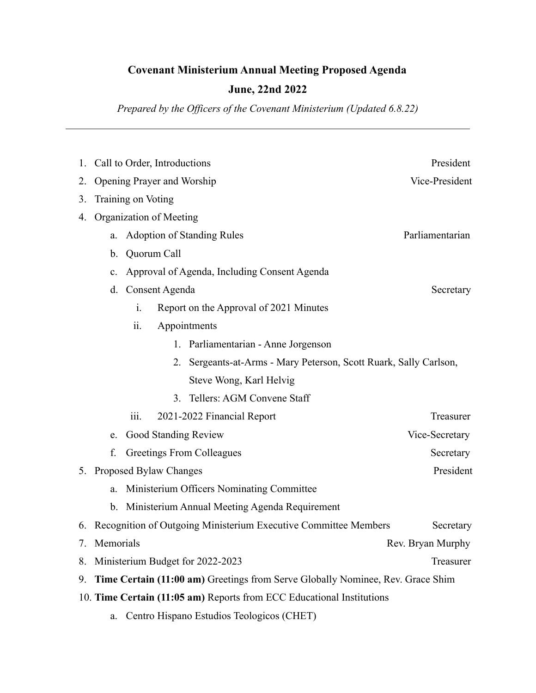## **Covenant Ministerium Annual Meeting Proposed Agenda**

## **June, 22nd 2022**

*Prepared by the Officers of the Covenant Ministerium (Updated 6.8.22)*

| 1.                                                                                   | Call to Order, Introductions                                                 | President                                                            |                 |  |
|--------------------------------------------------------------------------------------|------------------------------------------------------------------------------|----------------------------------------------------------------------|-----------------|--|
| 2.                                                                                   | Vice-President<br>Opening Prayer and Worship                                 |                                                                      |                 |  |
| 3.                                                                                   | Training on Voting                                                           |                                                                      |                 |  |
| 4.                                                                                   | Organization of Meeting                                                      |                                                                      |                 |  |
|                                                                                      | a.                                                                           | <b>Adoption of Standing Rules</b>                                    | Parliamentarian |  |
|                                                                                      | $\mathbf b$ .                                                                | Quorum Call                                                          |                 |  |
|                                                                                      | $\mathbf{c}$ .                                                               | Approval of Agenda, Including Consent Agenda                         |                 |  |
|                                                                                      | d.                                                                           | Consent Agenda                                                       | Secretary       |  |
|                                                                                      |                                                                              | i.<br>Report on the Approval of 2021 Minutes                         |                 |  |
|                                                                                      |                                                                              | ii.<br>Appointments                                                  |                 |  |
|                                                                                      |                                                                              | 1. Parliamentarian - Anne Jorgenson                                  |                 |  |
|                                                                                      |                                                                              | Sergeants-at-Arms - Mary Peterson, Scott Ruark, Sally Carlson,<br>2. |                 |  |
|                                                                                      |                                                                              | Steve Wong, Karl Helvig                                              |                 |  |
|                                                                                      |                                                                              | Tellers: AGM Convene Staff<br>3.                                     |                 |  |
|                                                                                      |                                                                              | 2021-2022 Financial Report<br>111.                                   | Treasurer       |  |
|                                                                                      | e.                                                                           | Good Standing Review                                                 | Vice-Secretary  |  |
|                                                                                      | f.                                                                           | Greetings From Colleagues                                            | Secretary       |  |
|                                                                                      | President<br>5. Proposed Bylaw Changes                                       |                                                                      |                 |  |
|                                                                                      | a.                                                                           | Ministerium Officers Nominating Committee                            |                 |  |
|                                                                                      | $\mathbf{b}$ .                                                               | Ministerium Annual Meeting Agenda Requirement                        |                 |  |
| 6.                                                                                   | Recognition of Outgoing Ministerium Executive Committee Members<br>Secretary |                                                                      |                 |  |
| 7.                                                                                   | Memorials<br>Rev. Bryan Murphy                                               |                                                                      |                 |  |
| 8.                                                                                   |                                                                              | Ministerium Budget for 2022-2023<br>Treasurer                        |                 |  |
| Time Certain (11:00 am) Greetings from Serve Globally Nominee, Rev. Grace Shim<br>9. |                                                                              |                                                                      |                 |  |
| 10. Time Certain (11:05 am) Reports from ECC Educational Institutions                |                                                                              |                                                                      |                 |  |
| Centro Hispano Estudios Teologicos (CHET)<br>a.                                      |                                                                              |                                                                      |                 |  |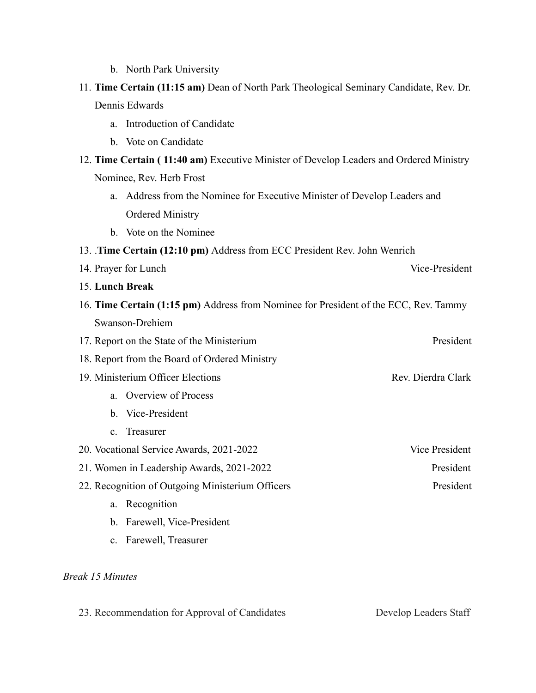- b. North Park University
- 11. **Time Certain (11:15 am)** Dean of North Park Theological Seminary Candidate, Rev. Dr. Dennis Edwards
	- a. Introduction of Candidate
	- b. Vote on Candidate
- 12. **Time Certain ( 11:40 am)** Executive Minister of Develop Leaders and Ordered Ministry Nominee, Rev. Herb Frost
	- a. Address from the Nominee for Executive Minister of Develop Leaders and Ordered Ministry
	- b. Vote on the Nominee
- 13. .**Time Certain (12:10 pm)** Address from ECC President Rev. John Wenrich
- 14. Prayer for Lunch Vice-President
- 15. **Lunch Break**
- 16. **Time Certain (1:15 pm)** Address from Nominee for President of the ECC, Rev. Tammy Swanson-Drehiem
- 17. Report on the State of the Ministerium President
- 18. Report from the Board of Ordered Ministry
- 19. Ministerium Officer Elections **Rev. 2016** Rev. Dierdra Clark
	- a. Overview of Process
	- b. Vice-President
	- c. Treasurer
- 20. Vocational Service Awards, 2021-2022 Vice President
- 21. Women in Leadership Awards, 2021-2022 President
- 22. Recognition of Outgoing Ministerium Officers President
	- a. Recognition
	- b. Farewell, Vice-President
	- c. Farewell, Treasurer

## *Break 15 Minutes*

23. Recommendation for Approval of Candidates Develop Leaders Staff